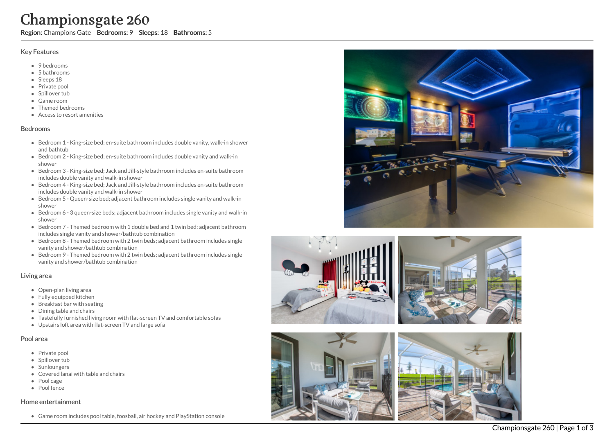# Championsgate 260

Region: Champions Gate Bedrooms: 9 Sleeps: 18 Bathrooms: 5

#### Key Features

- 9 bedrooms
- 5 b a t h r o o m s
- Sleeps 18
- Private pool
- Spillover tub
- Game room
- Themed bedr o o m s
- Access to resort amenities

#### **Bedrooms**

- Bedroom 1 King-size bed; en-suite bathroom includes double vanity, walk-in shower and bathtub
- Bedroom 2 King-size bed; en-suite bathroom includes double vanity and walk-in s h o w e r
- Bedroom 3 King-size bed; Jack and Jill-style bathroom includes en-suite bathroom includes double vanity and walk-in shower
- Bedroom 4 King-size bed; Jack and Jill-style bathroom includes en-suite bathroom includes double vanity and walk-in shower
- Bedroom 5 Queen-size bed; adjacent bathroom includes single vanity and walk-in shower
- Bedroom 6 3 queen-size beds; adjacent bathroom includes single vanity and walk-in shower
- Bedroom 7 Themed bedroom with 1 double bed and 1 twin bed; adjacent bathroom includes single vanity and shower/bathtub combination
- Bedroom 8 Themed bedroom with 2 twin beds; adjacent bathroom includes single vanity and shower/bathtub combination
- Bedroom 9 Themed bedroom with 2 twin beds; adjacent bathroom includes single vanity and shower/bathtub combination

#### Living area

- Open-plan living area
- Fully equipped kitchen
- Breakfast bar with seating
- Dining table and chairs
- Tastefully furnished living room with flat-screen TV and comfortable sofas
- Upstairs loft area with flat-screen TV and large sofa

## Pool area

- Private pool
- Spillover tub
- Sunloungers
- Covered lanai with table and chairs
- Pool cage
- Pool fence

#### Home entertainment

Game room includes pool table, foosball, air hockey and PlayStation console









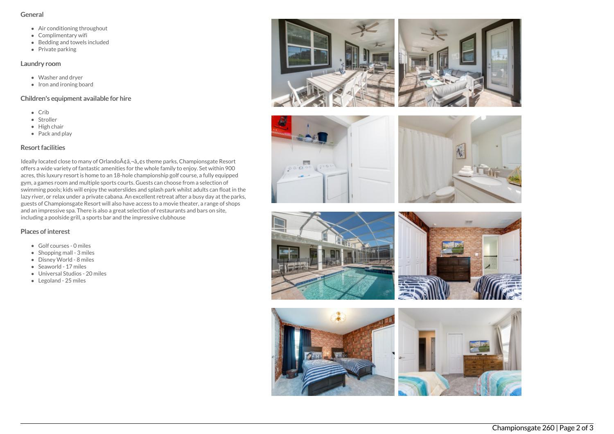#### General

- Air conditioning throughout
- Complimentary wifi
- Bedding and towels included
- $\bullet$  Private parking

### Laundry room

- Washer and dryer
- $\bullet$  Iron and ironing board

## Children's equipment available for hire

- Crib
- Stroller
- $\bullet$  High chair
- Pack and play

# Resort facilities

Ideally located close to many of Orlando A¢â,¬â, ¢s theme parks, Championsgate Resort offers a wide variety of fantastic amenities for the whole family to enjoy. Set within 900 acres, this luxury resort is home to an 18-hole championship golf course, a fully equipped gym, a games room and multiple sports courts. Guests can choose from a selection of swimming pools; kids will enjoy the waterslides and splash park whilst adults can float in the lazy river, or relax under a private cabana. An excellent retreat after a busy day at the parks, guests of Championsgate Resort will also have access to a movie theater, a range of shops and an impressive spa. There is also a great selection of restaurants and bars on site, including a poolside grill, a sports bar and the impressive clubhouse

## Places of interest

- Golf courses 0 miles
- $\bullet$  Shopping mall 3 miles
- Disney World 8 miles
- Seaworld 17 miles
- Universal Studios 20 miles
- Legoland 25 miles